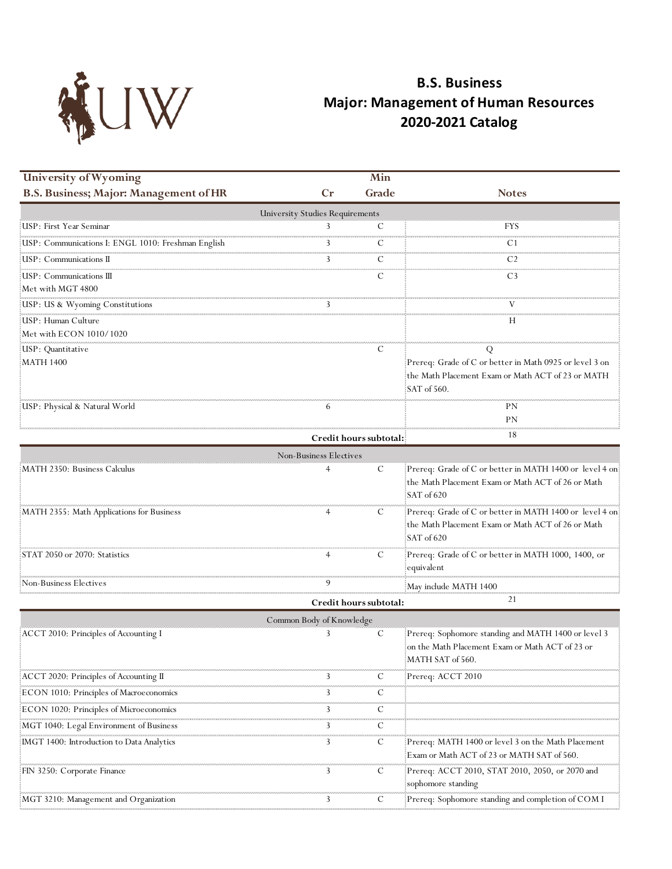

## **B.S. Business Major: Management of Human Resources 2020-2021 Catalog**

| <b>University of Wyoming</b>                                          |                                 | Min                    |                                                                                                   |
|-----------------------------------------------------------------------|---------------------------------|------------------------|---------------------------------------------------------------------------------------------------|
| <b>B.S. Business; Major: Management of HR</b>                         | Cr                              | Grade                  | <b>Notes</b>                                                                                      |
|                                                                       | University Studies Requirements |                        |                                                                                                   |
| <b>USP</b> : First Year Seminar                                       |                                 | С                      | <b>FYS</b>                                                                                        |
| USP: Communications I: ENGL 1010: Freshman English                    |                                 | C                      | .<br>C1                                                                                           |
| USP: Communications II                                                |                                 |                        | C2                                                                                                |
| USP: Communications III                                               |                                 |                        | C3                                                                                                |
| Met with MGT 4800<br>maanaanaanaanaanaanaa                            |                                 |                        |                                                                                                   |
| USP: US & Wyoming Constitutions                                       | 3                               |                        |                                                                                                   |
| USP: Human Culture                                                    |                                 |                        | Н                                                                                                 |
| Met with ECON 1010/1020                                               |                                 |                        |                                                                                                   |
| USP: Quantitative                                                     |                                 | C                      | Q                                                                                                 |
| MATH 1400                                                             |                                 |                        | Prereq: Grade of C or better in Math 0925 or level 3 on                                           |
|                                                                       |                                 |                        | the Math Placement Exam or Math ACT of 23 or MATH<br>SAT of 560.                                  |
| USP: Physical & Natural World                                         | 6                               |                        | PΝ                                                                                                |
|                                                                       |                                 |                        | ΡN                                                                                                |
|                                                                       |                                 | Credit hours subtotal: | 18                                                                                                |
|                                                                       | Non-Business Electives          |                        |                                                                                                   |
| MATH 2350: Business Calculus                                          |                                 | C                      | Prereq: Grade of C or better in MATH 1400 or level 4 on                                           |
|                                                                       |                                 |                        | the Math Placement Exam or Math ACT of 26 or Math<br>SAT of 620                                   |
| MATH 2355: Math Applications for Business                             |                                 | C                      | Prereq: Grade of C or better in MATH 1400 or level 4 on:                                          |
|                                                                       |                                 |                        | the Math Placement Exam or Math ACT of 26 or Math<br>SAT of 620                                   |
| STAT 2050 or 2070: Statistics                                         |                                 | C                      | Prereq: Grade of C or better in MATH 1000, 1400, or                                               |
| Non-Business Electives                                                | 9                               |                        | equivalent                                                                                        |
|                                                                       |                                 |                        | May include MATH 1400                                                                             |
|                                                                       |                                 | Credit hours subtotal: | 21                                                                                                |
|                                                                       | Common Body of Knowledge        |                        |                                                                                                   |
| ACCT 2010: Principles of Accounting I                                 |                                 | C                      | Prereq: Sophomore standing and MATH 1400 or level 3                                               |
|                                                                       |                                 |                        | on the Math Placement Exam or Math ACT of 23 or<br>MATH SAT of 560.                               |
| ACCT 2020: Principles of Accounting II                                | 3                               | Ċ                      | Prereq: ACCT 2010                                                                                 |
| ECON 1010: Principles of Macroeconomics                               | 3                               | C                      |                                                                                                   |
| ECON 1020: Principles of Microeconomics                               | 3                               | C                      |                                                                                                   |
| maanamaananananananananana<br>MGT 1040: Legal Environment of Business | 3                               | С                      |                                                                                                   |
|                                                                       | 3                               |                        |                                                                                                   |
| [IMGT 1400: Introduction to Data Analytics]                           |                                 | C                      | Prereq: MATH 1400 or level 3 on the Math Placement!<br>Exam or Math ACT of 23 or MATH SAT of 560. |
| FIN 3250: Corporate Finance                                           | 3                               | C                      | Prereq: ACCT 2010, STAT 2010, 2050, or 2070 and<br>sophomore standing                             |
| MGT 3210: Management and Organization                                 | 3                               | C                      | Prereq: Sophomore standing and completion of COM I                                                |